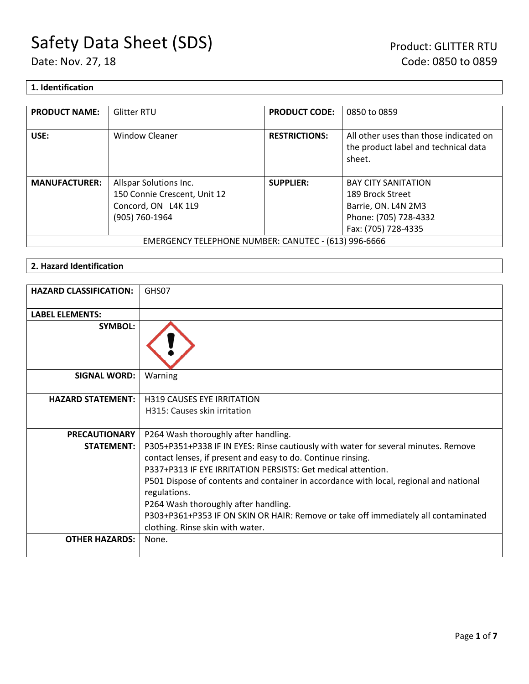## **1. Identification**

| <b>PRODUCT NAME:</b>                                 | <b>Glitter RTU</b>           | <b>PRODUCT CODE:</b> | 0850 to 0859                                                                             |
|------------------------------------------------------|------------------------------|----------------------|------------------------------------------------------------------------------------------|
| USE:                                                 | <b>Window Cleaner</b>        | <b>RESTRICTIONS:</b> | All other uses than those indicated on<br>the product label and technical data<br>sheet. |
| <b>MANUFACTURER:</b>                                 | Allspar Solutions Inc.       | <b>SUPPLIER:</b>     | <b>BAY CITY SANITATION</b>                                                               |
|                                                      | 150 Connie Crescent, Unit 12 |                      | 189 Brock Street                                                                         |
|                                                      | Concord, ON L4K 1L9          |                      | Barrie, ON. L4N 2M3                                                                      |
|                                                      | (905) 760-1964               |                      | Phone: (705) 728-4332                                                                    |
|                                                      |                              |                      | Fax: (705) 728-4335                                                                      |
| EMERGENCY TELEPHONE NUMBER: CANUTEC - (613) 996-6666 |                              |                      |                                                                                          |

# **2. Hazard Identification**

| <b>HAZARD CLASSIFICATION:</b> | GHS07                                                                                                                                              |
|-------------------------------|----------------------------------------------------------------------------------------------------------------------------------------------------|
| <b>LABEL ELEMENTS:</b>        |                                                                                                                                                    |
| <b>SYMBOL:</b>                |                                                                                                                                                    |
| <b>SIGNAL WORD:</b>           | Warning                                                                                                                                            |
| <b>HAZARD STATEMENT:</b>      | <b>H319 CAUSES EYE IRRITATION</b>                                                                                                                  |
|                               | H315: Causes skin irritation                                                                                                                       |
| <b>PRECAUTIONARY</b>          | P264 Wash thoroughly after handling.                                                                                                               |
| <b>STATEMENT:</b>             | P305+P351+P338 IF IN EYES: Rinse cautiously with water for several minutes. Remove<br>contact lenses, if present and easy to do. Continue rinsing. |
|                               | P337+P313 IF EYE IRRITATION PERSISTS: Get medical attention.                                                                                       |
|                               | P501 Dispose of contents and container in accordance with local, regional and national<br>regulations.                                             |
|                               | P264 Wash thoroughly after handling.                                                                                                               |
|                               | P303+P361+P353 IF ON SKIN OR HAIR: Remove or take off immediately all contaminated<br>clothing. Rinse skin with water.                             |
| <b>OTHER HAZARDS:</b>         | None.                                                                                                                                              |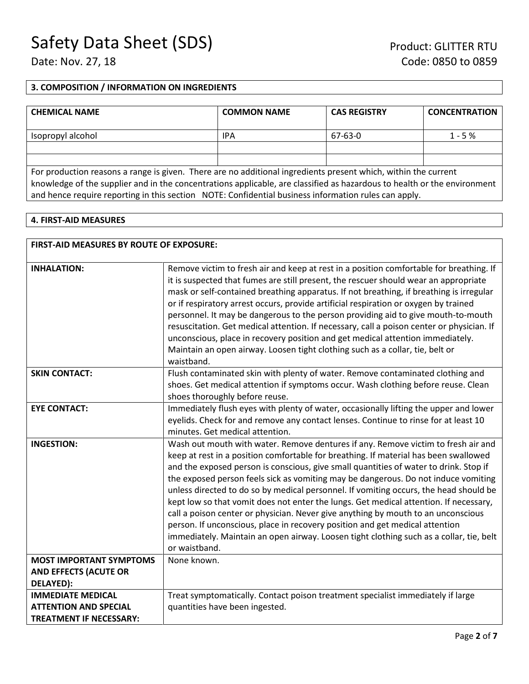#### **3. COMPOSITION / INFORMATION ON INGREDIENTS**

| <b>CHEMICAL NAME</b>                                                                                                        | <b>COMMON NAME</b> | <b>CAS REGISTRY</b> | <b>CONCENTRATION</b> |
|-----------------------------------------------------------------------------------------------------------------------------|--------------------|---------------------|----------------------|
| Isopropyl alcohol                                                                                                           | IPA                | 67-63-0             | $1 - 5%$             |
|                                                                                                                             |                    |                     |                      |
|                                                                                                                             |                    |                     |                      |
| ■ Concert District Concert Concert Concert Des ■ Des Concerts Continued November 2010 Concerts The Hotel Production Concert |                    |                     |                      |

For production reasons a range is given. There are no additional ingredients present which, within the current knowledge of the supplier and in the concentrations applicable, are classified as hazardous to health or the environment and hence require reporting in this section NOTE: Confidential business information rules can apply.

#### **4. FIRST-AID MEASURES**

| <b>FIRST-AID MEASURES BY ROUTE OF EXPOSURE:</b>                                            |                                                                                                                                                                                                                                                                                                                                                                                                                                                                                                                                                                                                                                                                                                                                                                                                                             |  |
|--------------------------------------------------------------------------------------------|-----------------------------------------------------------------------------------------------------------------------------------------------------------------------------------------------------------------------------------------------------------------------------------------------------------------------------------------------------------------------------------------------------------------------------------------------------------------------------------------------------------------------------------------------------------------------------------------------------------------------------------------------------------------------------------------------------------------------------------------------------------------------------------------------------------------------------|--|
| <b>INHALATION:</b>                                                                         | Remove victim to fresh air and keep at rest in a position comfortable for breathing. If<br>it is suspected that fumes are still present, the rescuer should wear an appropriate<br>mask or self-contained breathing apparatus. If not breathing, if breathing is irregular<br>or if respiratory arrest occurs, provide artificial respiration or oxygen by trained<br>personnel. It may be dangerous to the person providing aid to give mouth-to-mouth<br>resuscitation. Get medical attention. If necessary, call a poison center or physician. If<br>unconscious, place in recovery position and get medical attention immediately.<br>Maintain an open airway. Loosen tight clothing such as a collar, tie, belt or<br>waistband.                                                                                       |  |
| <b>SKIN CONTACT:</b>                                                                       | Flush contaminated skin with plenty of water. Remove contaminated clothing and<br>shoes. Get medical attention if symptoms occur. Wash clothing before reuse. Clean<br>shoes thoroughly before reuse.                                                                                                                                                                                                                                                                                                                                                                                                                                                                                                                                                                                                                       |  |
| <b>EYE CONTACT:</b>                                                                        | Immediately flush eyes with plenty of water, occasionally lifting the upper and lower<br>eyelids. Check for and remove any contact lenses. Continue to rinse for at least 10<br>minutes. Get medical attention.                                                                                                                                                                                                                                                                                                                                                                                                                                                                                                                                                                                                             |  |
| <b>INGESTION:</b>                                                                          | Wash out mouth with water. Remove dentures if any. Remove victim to fresh air and<br>keep at rest in a position comfortable for breathing. If material has been swallowed<br>and the exposed person is conscious, give small quantities of water to drink. Stop if<br>the exposed person feels sick as vomiting may be dangerous. Do not induce vomiting<br>unless directed to do so by medical personnel. If vomiting occurs, the head should be<br>kept low so that vomit does not enter the lungs. Get medical attention. If necessary,<br>call a poison center or physician. Never give anything by mouth to an unconscious<br>person. If unconscious, place in recovery position and get medical attention<br>immediately. Maintain an open airway. Loosen tight clothing such as a collar, tie, belt<br>or waistband. |  |
| <b>MOST IMPORTANT SYMPTOMS</b>                                                             | None known.                                                                                                                                                                                                                                                                                                                                                                                                                                                                                                                                                                                                                                                                                                                                                                                                                 |  |
| <b>AND EFFECTS (ACUTE OR</b><br>DELAYED):                                                  |                                                                                                                                                                                                                                                                                                                                                                                                                                                                                                                                                                                                                                                                                                                                                                                                                             |  |
| <b>IMMEDIATE MEDICAL</b><br><b>ATTENTION AND SPECIAL</b><br><b>TREATMENT IF NECESSARY:</b> | Treat symptomatically. Contact poison treatment specialist immediately if large<br>quantities have been ingested.                                                                                                                                                                                                                                                                                                                                                                                                                                                                                                                                                                                                                                                                                                           |  |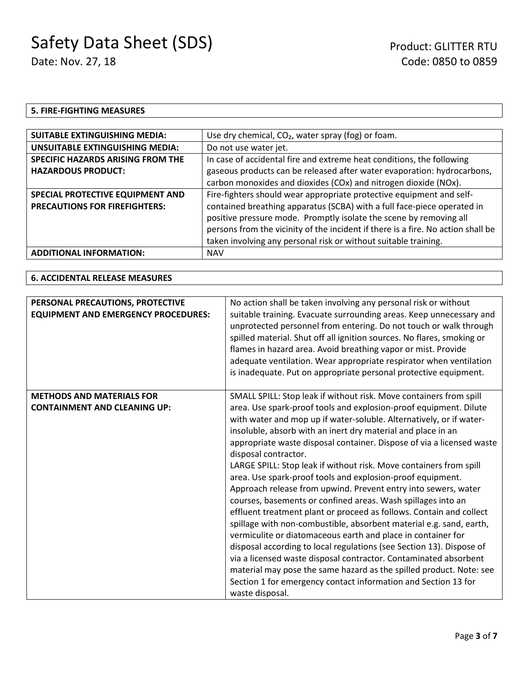### **5. FIRE-FIGHTING MEASURES**

| <b>SUITABLE EXTINGUISHING MEDIA:</b>     | Use dry chemical, $CO2$ , water spray (fog) or foam.                             |  |
|------------------------------------------|----------------------------------------------------------------------------------|--|
| <b>UNSUITABLE EXTINGUISHING MEDIA:</b>   | Do not use water jet.                                                            |  |
| <b>SPECIFIC HAZARDS ARISING FROM THE</b> | In case of accidental fire and extreme heat conditions, the following            |  |
| <b>HAZARDOUS PRODUCT:</b>                | gaseous products can be released after water evaporation: hydrocarbons,          |  |
|                                          | carbon monoxides and dioxides (COx) and nitrogen dioxide (NOx).                  |  |
| SPECIAL PROTECTIVE EQUIPMENT AND         | Fire-fighters should wear appropriate protective equipment and self-             |  |
| <b>PRECAUTIONS FOR FIREFIGHTERS:</b>     | contained breathing apparatus (SCBA) with a full face-piece operated in          |  |
|                                          | positive pressure mode. Promptly isolate the scene by removing all               |  |
|                                          | persons from the vicinity of the incident if there is a fire. No action shall be |  |
|                                          | taken involving any personal risk or without suitable training.                  |  |
| <b>ADDITIONAL INFORMATION:</b>           | <b>NAV</b>                                                                       |  |

#### **6. ACCIDENTAL RELEASE MEASURES**

| PERSONAL PRECAUTIONS, PROTECTIVE<br><b>EQUIPMENT AND EMERGENCY PROCEDURES:</b> | No action shall be taken involving any personal risk or without<br>suitable training. Evacuate surrounding areas. Keep unnecessary and<br>unprotected personnel from entering. Do not touch or walk through<br>spilled material. Shut off all ignition sources. No flares, smoking or<br>flames in hazard area. Avoid breathing vapor or mist. Provide<br>adequate ventilation. Wear appropriate respirator when ventilation<br>is inadequate. Put on appropriate personal protective equipment.                                                                                                                                                                                                                                                                                                                                                                                                                                                                                                                                                                                                                                                                            |
|--------------------------------------------------------------------------------|-----------------------------------------------------------------------------------------------------------------------------------------------------------------------------------------------------------------------------------------------------------------------------------------------------------------------------------------------------------------------------------------------------------------------------------------------------------------------------------------------------------------------------------------------------------------------------------------------------------------------------------------------------------------------------------------------------------------------------------------------------------------------------------------------------------------------------------------------------------------------------------------------------------------------------------------------------------------------------------------------------------------------------------------------------------------------------------------------------------------------------------------------------------------------------|
| <b>METHODS AND MATERIALS FOR</b><br><b>CONTAINMENT AND CLEANING UP:</b>        | SMALL SPILL: Stop leak if without risk. Move containers from spill<br>area. Use spark-proof tools and explosion-proof equipment. Dilute<br>with water and mop up if water-soluble. Alternatively, or if water-<br>insoluble, absorb with an inert dry material and place in an<br>appropriate waste disposal container. Dispose of via a licensed waste<br>disposal contractor.<br>LARGE SPILL: Stop leak if without risk. Move containers from spill<br>area. Use spark-proof tools and explosion-proof equipment.<br>Approach release from upwind. Prevent entry into sewers, water<br>courses, basements or confined areas. Wash spillages into an<br>effluent treatment plant or proceed as follows. Contain and collect<br>spillage with non-combustible, absorbent material e.g. sand, earth,<br>vermiculite or diatomaceous earth and place in container for<br>disposal according to local regulations (see Section 13). Dispose of<br>via a licensed waste disposal contractor. Contaminated absorbent<br>material may pose the same hazard as the spilled product. Note: see<br>Section 1 for emergency contact information and Section 13 for<br>waste disposal. |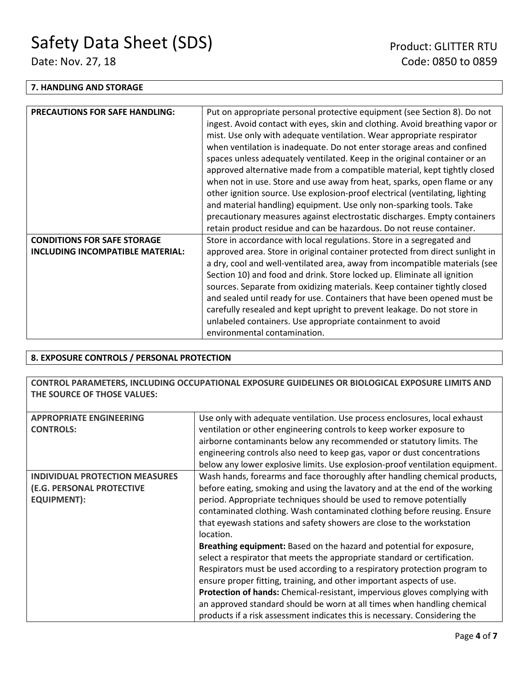#### **7. HANDLING AND STORAGE**

| <b>PRECAUTIONS FOR SAFE HANDLING:</b> | Put on appropriate personal protective equipment (see Section 8). Do not     |  |
|---------------------------------------|------------------------------------------------------------------------------|--|
|                                       | ingest. Avoid contact with eyes, skin and clothing. Avoid breathing vapor or |  |
|                                       | mist. Use only with adequate ventilation. Wear appropriate respirator        |  |
|                                       | when ventilation is inadequate. Do not enter storage areas and confined      |  |
|                                       | spaces unless adequately ventilated. Keep in the original container or an    |  |
|                                       | approved alternative made from a compatible material, kept tightly closed    |  |
|                                       | when not in use. Store and use away from heat, sparks, open flame or any     |  |
|                                       | other ignition source. Use explosion-proof electrical (ventilating, lighting |  |
|                                       | and material handling) equipment. Use only non-sparking tools. Take          |  |
|                                       | precautionary measures against electrostatic discharges. Empty containers    |  |
|                                       | retain product residue and can be hazardous. Do not reuse container.         |  |
| <b>CONDITIONS FOR SAFE STORAGE</b>    | Store in accordance with local regulations. Store in a segregated and        |  |
| INCLUDING INCOMPATIBLE MATERIAL:      | approved area. Store in original container protected from direct sunlight in |  |
|                                       | a dry, cool and well-ventilated area, away from incompatible materials (see  |  |
|                                       | Section 10) and food and drink. Store locked up. Eliminate all ignition      |  |
|                                       | sources. Separate from oxidizing materials. Keep container tightly closed    |  |
|                                       | and sealed until ready for use. Containers that have been opened must be     |  |
|                                       | carefully resealed and kept upright to prevent leakage. Do not store in      |  |
|                                       | unlabeled containers. Use appropriate containment to avoid                   |  |
|                                       | environmental contamination.                                                 |  |
|                                       |                                                                              |  |

## **8. EXPOSURE CONTROLS / PERSONAL PROTECTION**

**CONTROL PARAMETERS, INCLUDING OCCUPATIONAL EXPOSURE GUIDELINES OR BIOLOGICAL EXPOSURE LIMITS AND THE SOURCE OF THOSE VALUES:**

| <b>APPROPRIATE ENGINEERING</b>        | Use only with adequate ventilation. Use process enclosures, local exhaust    |  |
|---------------------------------------|------------------------------------------------------------------------------|--|
| <b>CONTROLS:</b>                      | ventilation or other engineering controls to keep worker exposure to         |  |
|                                       | airborne contaminants below any recommended or statutory limits. The         |  |
|                                       | engineering controls also need to keep gas, vapor or dust concentrations     |  |
|                                       | below any lower explosive limits. Use explosion-proof ventilation equipment. |  |
| <b>INDIVIDUAL PROTECTION MEASURES</b> | Wash hands, forearms and face thoroughly after handling chemical products,   |  |
| (E.G. PERSONAL PROTECTIVE             | before eating, smoking and using the lavatory and at the end of the working  |  |
| <b>EQUIPMENT):</b>                    | period. Appropriate techniques should be used to remove potentially          |  |
|                                       | contaminated clothing. Wash contaminated clothing before reusing. Ensure     |  |
|                                       | that eyewash stations and safety showers are close to the workstation        |  |
|                                       | location.                                                                    |  |
|                                       | Breathing equipment: Based on the hazard and potential for exposure,         |  |
|                                       | select a respirator that meets the appropriate standard or certification.    |  |
|                                       | Respirators must be used according to a respiratory protection program to    |  |
|                                       | ensure proper fitting, training, and other important aspects of use.         |  |
|                                       | Protection of hands: Chemical-resistant, impervious gloves complying with    |  |
|                                       | an approved standard should be worn at all times when handling chemical      |  |
|                                       | products if a risk assessment indicates this is necessary. Considering the   |  |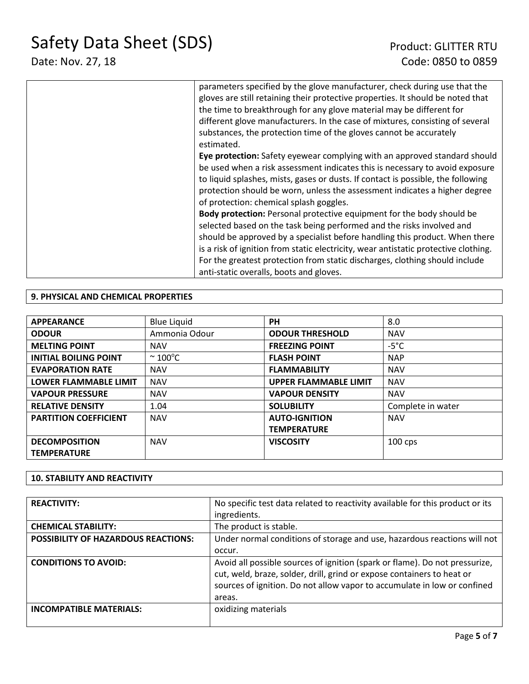# Date: Nov. 27, 18 **Date:** Nov. 27, 18

| parameters specified by the glove manufacturer, check during use that the<br>gloves are still retaining their protective properties. It should be noted that<br>the time to breakthrough for any glove material may be different for<br>different glove manufacturers. In the case of mixtures, consisting of several<br>substances, the protection time of the gloves cannot be accurately<br>estimated.                                             |
|-------------------------------------------------------------------------------------------------------------------------------------------------------------------------------------------------------------------------------------------------------------------------------------------------------------------------------------------------------------------------------------------------------------------------------------------------------|
| Eye protection: Safety eyewear complying with an approved standard should<br>be used when a risk assessment indicates this is necessary to avoid exposure<br>to liquid splashes, mists, gases or dusts. If contact is possible, the following<br>protection should be worn, unless the assessment indicates a higher degree<br>of protection: chemical splash goggles.                                                                                |
| <b>Body protection:</b> Personal protective equipment for the body should be<br>selected based on the task being performed and the risks involved and<br>should be approved by a specialist before handling this product. When there<br>is a risk of ignition from static electricity, wear antistatic protective clothing.<br>For the greatest protection from static discharges, clothing should include<br>anti-static overalls, boots and gloves. |

# **9. PHYSICAL AND CHEMICAL PROPERTIES**

| <b>APPEARANCE</b>            | <b>Blue Liquid</b>     | <b>PH</b>                    | 8.0               |
|------------------------------|------------------------|------------------------------|-------------------|
| <b>ODOUR</b>                 | Ammonia Odour          | <b>ODOUR THRESHOLD</b>       | <b>NAV</b>        |
| <b>MELTING POINT</b>         | <b>NAV</b>             | <b>FREEZING POINT</b>        | $-5^{\circ}$ C    |
| <b>INITIAL BOILING POINT</b> | $\sim$ 100 $\degree$ C | <b>FLASH POINT</b>           | <b>NAP</b>        |
| <b>EVAPORATION RATE</b>      | <b>NAV</b>             | <b>FLAMMABILITY</b>          | <b>NAV</b>        |
| <b>LOWER FLAMMABLE LIMIT</b> | <b>NAV</b>             | <b>UPPER FLAMMABLE LIMIT</b> | <b>NAV</b>        |
| <b>VAPOUR PRESSURE</b>       | <b>NAV</b>             | <b>VAPOUR DENSITY</b>        | <b>NAV</b>        |
| <b>RELATIVE DENSITY</b>      | 1.04                   | <b>SOLUBILITY</b>            | Complete in water |
| <b>PARTITION COEFFICIENT</b> | <b>NAV</b>             | <b>AUTO-IGNITION</b>         | <b>NAV</b>        |
|                              |                        | <b>TEMPERATURE</b>           |                   |
| <b>DECOMPOSITION</b>         | <b>NAV</b>             | <b>VISCOSITY</b>             | $100$ cps         |
| <b>TEMPERATURE</b>           |                        |                              |                   |

# **10. STABILITY AND REACTIVITY**

| <b>REACTIVITY:</b>                         | No specific test data related to reactivity available for this product or its<br>ingredients.                                                                                                                                               |
|--------------------------------------------|---------------------------------------------------------------------------------------------------------------------------------------------------------------------------------------------------------------------------------------------|
| <b>CHEMICAL STABILITY:</b>                 | The product is stable.                                                                                                                                                                                                                      |
| <b>POSSIBILITY OF HAZARDOUS REACTIONS:</b> | Under normal conditions of storage and use, hazardous reactions will not                                                                                                                                                                    |
|                                            | occur.                                                                                                                                                                                                                                      |
| <b>CONDITIONS TO AVOID:</b>                | Avoid all possible sources of ignition (spark or flame). Do not pressurize,<br>cut, weld, braze, solder, drill, grind or expose containers to heat or<br>sources of ignition. Do not allow vapor to accumulate in low or confined<br>areas. |
| <b>INCOMPATIBLE MATERIALS:</b>             | oxidizing materials                                                                                                                                                                                                                         |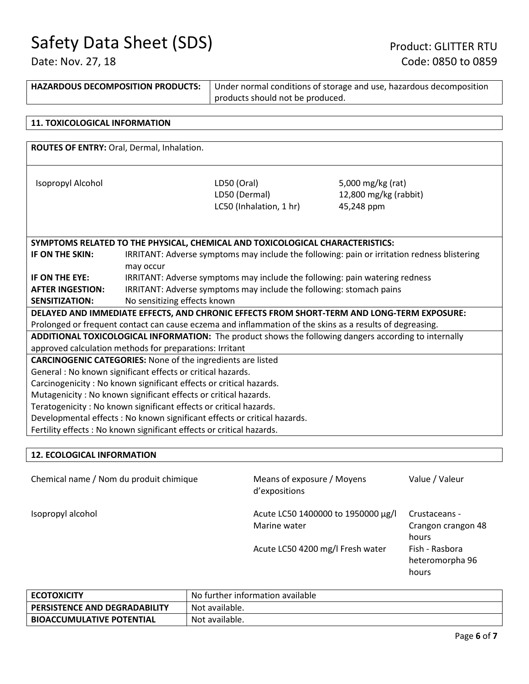| <b>HAZARDOUS DECOMPOSITION PRODUCTS:</b>                                                                 |                                                                                             | Under normal conditions of storage and use, hazardous decomposition<br>products should not be produced. |  |  |
|----------------------------------------------------------------------------------------------------------|---------------------------------------------------------------------------------------------|---------------------------------------------------------------------------------------------------------|--|--|
|                                                                                                          |                                                                                             |                                                                                                         |  |  |
| <b>11. TOXICOLOGICAL INFORMATION</b>                                                                     |                                                                                             |                                                                                                         |  |  |
|                                                                                                          |                                                                                             |                                                                                                         |  |  |
| ROUTES OF ENTRY: Oral, Dermal, Inhalation.                                                               |                                                                                             |                                                                                                         |  |  |
|                                                                                                          |                                                                                             |                                                                                                         |  |  |
|                                                                                                          |                                                                                             |                                                                                                         |  |  |
| Isopropyl Alcohol                                                                                        | LD50 (Oral)                                                                                 | 5,000 mg/kg (rat)                                                                                       |  |  |
|                                                                                                          | LD50 (Dermal)                                                                               | 12,800 mg/kg (rabbit)                                                                                   |  |  |
|                                                                                                          | LC50 (Inhalation, 1 hr)                                                                     | 45,248 ppm                                                                                              |  |  |
|                                                                                                          |                                                                                             |                                                                                                         |  |  |
|                                                                                                          |                                                                                             |                                                                                                         |  |  |
| SYMPTOMS RELATED TO THE PHYSICAL, CHEMICAL AND TOXICOLOGICAL CHARACTERISTICS:                            |                                                                                             |                                                                                                         |  |  |
| IF ON THE SKIN:                                                                                          | IRRITANT: Adverse symptoms may include the following: pain or irritation redness blistering |                                                                                                         |  |  |
| may occur                                                                                                |                                                                                             |                                                                                                         |  |  |
| IF ON THE EYE:                                                                                           | IRRITANT: Adverse symptoms may include the following: pain watering redness                 |                                                                                                         |  |  |
| <b>AFTER INGESTION:</b>                                                                                  | IRRITANT: Adverse symptoms may include the following: stomach pains                         |                                                                                                         |  |  |
| <b>SENSITIZATION:</b>                                                                                    | No sensitizing effects known                                                                |                                                                                                         |  |  |
| DELAYED AND IMMEDIATE EFFECTS, AND CHRONIC EFFECTS FROM SHORT-TERM AND LONG-TERM EXPOSURE:               |                                                                                             |                                                                                                         |  |  |
| Prolonged or frequent contact can cause eczema and inflammation of the skins as a results of degreasing. |                                                                                             |                                                                                                         |  |  |
| ADDITIONAL TOXICOLOGICAL INFORMATION: The product shows the following dangers according to internally    |                                                                                             |                                                                                                         |  |  |
|                                                                                                          | approved calculation methods for preparations: Irritant                                     |                                                                                                         |  |  |

**CARCINOGENIC CATEGORIES:** None of the ingredients are listed

General : No known significant effects or critical hazards.

Carcinogenicity : No known significant effects or critical hazards.

Mutagenicity : No known significant effects or critical hazards.

Teratogenicity : No known significant effects or critical hazards.

Developmental effects : No known significant effects or critical hazards.

Fertility effects : No known significant effects or critical hazards.

# **12. ECOLOGICAL INFORMATION**

Chemical name / Nom du produit chimique Means of exposure / Moyens d'expositions Value / Valeur Isopropyl alcohol and Acute LC50 1400000 to 1950000 µg/l Marine water Crustaceans - Crangon crangon 48 hours Acute LC50 4200 mg/l Fresh water Fish - Rasbora heteromorpha 96 hours

| <b>ECOTOXICITY</b>                   | No further information available |
|--------------------------------------|----------------------------------|
| <b>PERSISTENCE AND DEGRADABILITY</b> | Not available.                   |
| <b>BIOACCUMULATIVE POTENTIAL</b>     | Not available.                   |